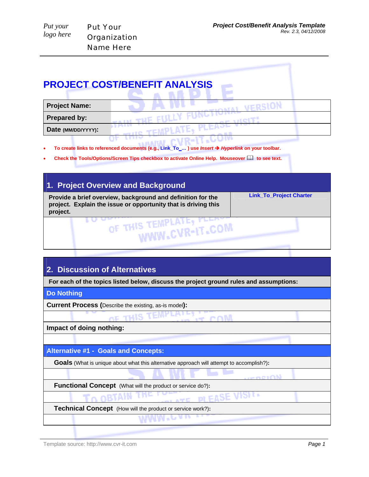| Put your  | <b>Put Your</b>  |
|-----------|------------------|
| logo here | Organization     |
|           | <b>Name Here</b> |

#### **PROJECT COST/BENEFIT ANALYSIS Contract Contract Contract Contract Contract Contract Contract Contract Contract Contract Contract Contract Contract Contract Contract Contract Contract Contract Contract Contract Contract Contract Contract Contract Contr**

| <b>Project Name:</b> |  |
|----------------------|--|
| <b>Prepared by:</b>  |  |
| Date (MM/DD/YYYY):   |  |
|                      |  |

- **To create links to referenced documents (e.g., Link\_To\_… ) use** *Insert* Î *Hyperlink* **on your toolbar.**
- **Check the Tools/Options/Screen Tips checkbox to activate Online Help. Mouseover to see text.**

| 1. Project Overview and Background                                                                                                        |                                |
|-------------------------------------------------------------------------------------------------------------------------------------------|--------------------------------|
| Provide a brief overview, background and definition for the<br>project. Explain the issue or opportunity that is driving this<br>project. | <b>Link_To_Project Charter</b> |
| THIS TEMPLATE, FLE.<br>OF TH <sub>1</sub>                                                                                                 |                                |

## **2. Discussion of Alternatives**

**For each of the topics listed below, discuss the project ground rules and assumptions:** 

#### **Do Nothing**

**Current Process (**Describe the existing, as-is model**):**

OF THIS coM

**Impact of doing nothing:**

#### **Alternative #1 - Goals and Concepts:**

 **Goals** (What is unique about what this alternative approach will attempt to accomplish?)**:**

 **Functional Concept** (What will the product or service do?)**:**

 $m$  FASE vrər

**MMM**\*e

 **Technical Concept** (How will the product or service work?)**:**

. eneroN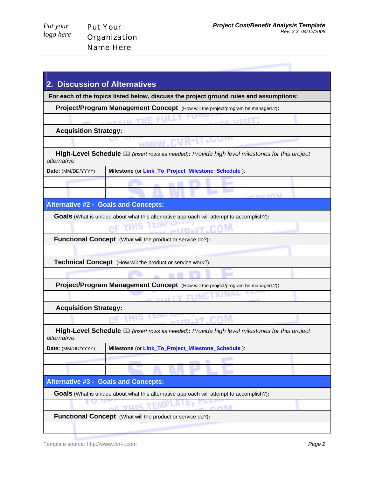| Put your  |  |
|-----------|--|
| logo here |  |

| 2.                                                                | <b>Discussion of Alternatives</b>                                                               |
|-------------------------------------------------------------------|-------------------------------------------------------------------------------------------------|
|                                                                   | For each of the topics listed below, discuss the project ground rules and assumptions:          |
|                                                                   | <b>Project/Program Management Concept</b> (How will the project/program be managed.?):          |
|                                                                   | <b>COL VISIT:</b><br>OTAIN THE                                                                  |
| <b>Acquisition Strategy:</b>                                      |                                                                                                 |
|                                                                   | ن ن                                                                                             |
| alternative                                                       | High-Level Schedule (a) (insert rows as needed): Provide high level milestones for this project |
| Date: (MM/DD/YYYY)                                                | Milestone (or Link_To_Project_Milestone_Schedule):                                              |
|                                                                   |                                                                                                 |
|                                                                   | <b>Geneval</b>                                                                                  |
|                                                                   | <b>Alternative #2 - Goals and Concepts:</b>                                                     |
|                                                                   | <b>Goals</b> (What is unique about what this alternative approach will attempt to accomplish?): |
|                                                                   | avro Jo                                                                                         |
|                                                                   | <b>Functional Concept</b> (What will the product or service do?):                               |
|                                                                   |                                                                                                 |
|                                                                   | <b>Technical Concept</b> (How will the product or service work?):                               |
|                                                                   |                                                                                                 |
|                                                                   | Project/Program Management Concept (How will the project/program be managed.?):                 |
|                                                                   | <b>ENVC</b><br>$\sim$ entitl $N$                                                                |
| <b>Acquisition Strategy:</b>                                      |                                                                                                 |
|                                                                   | A110-17                                                                                         |
| alternative                                                       | High-Level Schedule a (insert rows as needed): Provide high level milestones for this project   |
| Date: (MM/DD/YYYY)                                                | Milestone (or Link_To_Project_Milestone_Schedule):                                              |
|                                                                   |                                                                                                 |
|                                                                   |                                                                                                 |
|                                                                   | <b>Alternative #3 - Goals and Concepts:</b>                                                     |
|                                                                   | <b>Goals</b> (What is unique about what this alternative approach will attempt to accomplish?): |
| 木林<br>mulis                                                       |                                                                                                 |
| <b>Functional Concept</b> (What will the product or service do?): |                                                                                                 |
|                                                                   |                                                                                                 |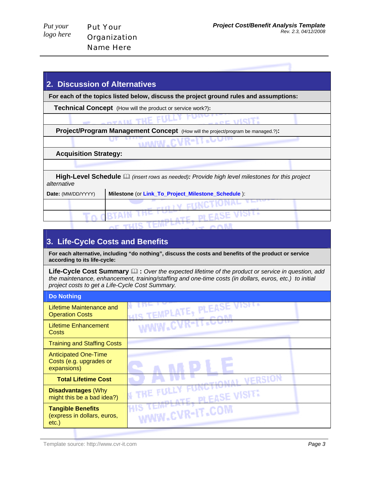| Put your  |  |
|-----------|--|
| logo here |  |

| 2. Discussion of Alternatives |                                                                                                           |  |
|-------------------------------|-----------------------------------------------------------------------------------------------------------|--|
|                               | For each of the topics listed below, discuss the project ground rules and assumptions:                    |  |
|                               | <b>Technical Concept</b> (How will the product or service work?):                                         |  |
|                               | <b>ADVALK THE FULLY</b>                                                                                   |  |
|                               | <b>Project/Program Management Concept</b> (How will the project/program be managed.?):                    |  |
|                               | <b>MANW.CVR-IT.COM</b>                                                                                    |  |
| <b>Acquisition Strategy:</b>  |                                                                                                           |  |
|                               |                                                                                                           |  |
| alternative                   | <b>High-Level Schedule</b> $\Box$ (insert rows as needed): Provide high level milestones for this project |  |
| Date: (MM/DD/YYYY)            | Milestone (or Link_To_Project_Milestone_Schedule):                                                        |  |
|                               |                                                                                                           |  |
|                               | nt Fl<br><b>Contract Contract</b>                                                                         |  |

### **3. Life-Cycle Costs and Benefits**

**For each alternative, including "do nothing", discuss the costs and benefits of the product or service according to its life-cycle:** 

Life-Cycle Cost Summary  $\square$  : Over the expected lifetime of the product or service in question, add *the maintenance, enhancement, training/staffing and one-time costs (in dollars, euros, etc.) to initial project costs to get a Life-Cycle Cost Summary.*

| <b>Do Nothing</b>                                                     |                                           |
|-----------------------------------------------------------------------|-------------------------------------------|
| Lifetime Maintenance and<br><b>Operation Costs</b>                    | HIS TEMPLATE, PLEASE VISIT.               |
| <b>Lifetime Enhancement</b><br>Costs                                  | WWW.CVR-IT.CL                             |
| <b>Training and Staffing Costs</b>                                    |                                           |
| <b>Anticipated One-Time</b><br>Costs (e.g. upgrades or<br>expansions) |                                           |
| <b>Total Lifetime Cost</b>                                            | FRSION                                    |
| <b>Disadvantages (Why</b><br>might this be a bad idea?)               | <b>W THE FULL</b><br><b>PLEASE VISIT!</b> |
| <b>Tangible Benefits</b><br>(express in dollars, euros,<br>$etc.$ )   | WWW.CVR-IT.COM                            |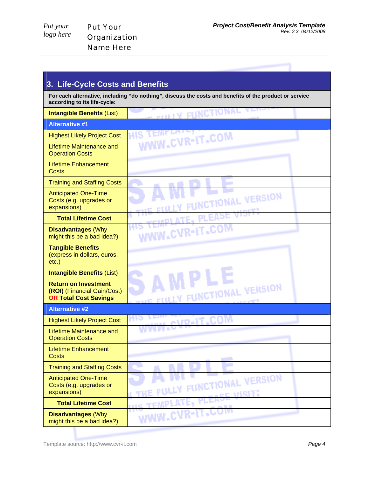*Put your logo here*  Put Your Organization Name Here

| 3. Life-Cycle Costs and Benefits                                                                                                       |                                           |  |
|----------------------------------------------------------------------------------------------------------------------------------------|-------------------------------------------|--|
| For each alternative, including "do nothing", discuss the costs and benefits of the product or service<br>according to its life-cycle: |                                           |  |
| <b>Intangible Benefits (List)</b>                                                                                                      | <b>TITLY FUNCTIONAL VERSIT</b><br>æ       |  |
| <b>Alternative #1</b>                                                                                                                  |                                           |  |
| <b>Highest Likely Project Cost</b>                                                                                                     | WE LEVE<br><b>MODE TILON</b>              |  |
| <b>Lifetime Maintenance and</b><br><b>Operation Costs</b>                                                                              |                                           |  |
| <b>Lifetime Enhancement</b><br>Costs                                                                                                   |                                           |  |
| <b>Training and Staffing Costs</b>                                                                                                     |                                           |  |
| <b>Anticipated One-Time</b><br>Costs (e.g. upgrades or<br>expansions)                                                                  | UNCTIONAL VERSION                         |  |
| <b>Total Lifetime Cost</b>                                                                                                             | <b>CEMPLATE.</b>                          |  |
| <b>Disadvantages (Why</b><br>might this be a bad idea?)                                                                                | WWW.CVR-IT.COM                            |  |
| <b>Tangible Benefits</b><br>(express in dollars, euros,<br>$etc.$ )                                                                    |                                           |  |
| <b>Intangible Benefits (List)</b>                                                                                                      |                                           |  |
| <b>Return on Investment</b><br>(ROI) (Financial Gain/Cost)<br><b>OR Total Cost Savings</b>                                             | FUNCTIONAL VERSION                        |  |
| <b>Alternative #2</b>                                                                                                                  |                                           |  |
| <b>Highest Likely Project Cost</b>                                                                                                     | <b>TEIN</b><br>HIS<br><b>M.CVR-IT.COM</b> |  |
| <b>Lifetime Maintenance and</b><br><b>Operation Costs</b>                                                                              |                                           |  |
| <b>Lifetime Enhancement</b><br><b>Costs</b>                                                                                            |                                           |  |
| <b>Training and Staffing Costs</b>                                                                                                     |                                           |  |
| <b>Anticipated One-Time</b><br>Costs (e.g. upgrades or<br>expansions)                                                                  | UNCTIONAL VERSION                         |  |
| <b>Total Lifetime Cost</b>                                                                                                             | me                                        |  |
| <b>Disadvantages (Why</b><br>might this be a bad idea?)                                                                                | WW.C                                      |  |

Template source: http://www.cvr-it.com *Page 4*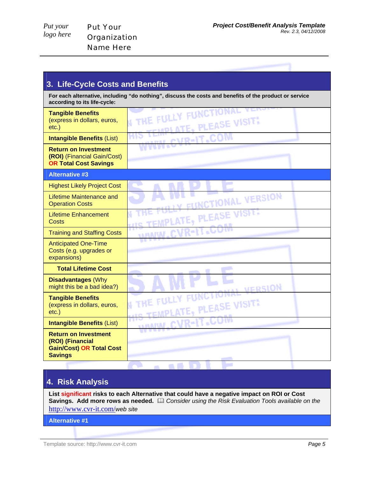Put Your Organization Name Here

**TAL VERSION** 

| 3. Life-Cycle Costs and Benefits                                                                                                       |                                                                |  |
|----------------------------------------------------------------------------------------------------------------------------------------|----------------------------------------------------------------|--|
| For each alternative, including "do nothing", discuss the costs and benefits of the product or service<br>according to its life-cycle: |                                                                |  |
| <b>Tangible Benefits</b><br>(express in dollars, euros,<br>$etc.$ )                                                                    | <b>I THE FULLY FUNCTIONAL</b><br><b>IMPLATE, PLEASE VISIT!</b> |  |
| <b>Intangible Benefits (List)</b>                                                                                                      | ARAI CVR-IT-COM                                                |  |
| <b>Return on Investment</b><br>(ROI) (Financial Gain/Cost)<br><b>OR Total Cost Savings</b>                                             |                                                                |  |
| <b>Alternative #3</b>                                                                                                                  |                                                                |  |
| <b>Highest Likely Project Cost</b>                                                                                                     |                                                                |  |
| Lifetime Maintenance and<br><b>Operation Costs</b>                                                                                     | FUNCTIONAL VERSION                                             |  |
| <b>Lifetime Enhancement</b><br>Costs                                                                                                   | <b>HIS TEMPLATE, PLEASE VISIT.</b>                             |  |
| <b>Training and Staffing Costs</b>                                                                                                     | <b>MANIN.CVR-IT.CC</b>                                         |  |
| <b>Anticipated One-Time</b><br>Costs (e.g. upgrades or<br>expansions)                                                                  |                                                                |  |
| <b>Total Lifetime Cost</b>                                                                                                             |                                                                |  |
| <b>Disadvantages (Why</b><br>. The end of the first particle is the first property of $\Delta\lambda$                                  | <b><i>COMPANY</i></b>                                          |  |

### **4. Risk Analysis**

might this be a bad idea?)

**Intangible Benefits** (List) **Return on Investment (ROI) (Financial** 

**Gain/Cost) OR Total Cost** 

**Tangible Benefits** (express in dollars, euros,

etc.)

**Savings** 

**List significant risks to each Alternative that could have a negative impact on ROI or Cost**  Savings. Add more rows as needed. *A Consider using the Risk Evaluation Tools available on the* http://www.cvr-it.com/*web site*

m

THE FULLY FUNCTIONAL

**MILARA** 

**Service** 

TEMPLATE, PLEASE VISIT

CVR-IT.COM

**Alternative #1**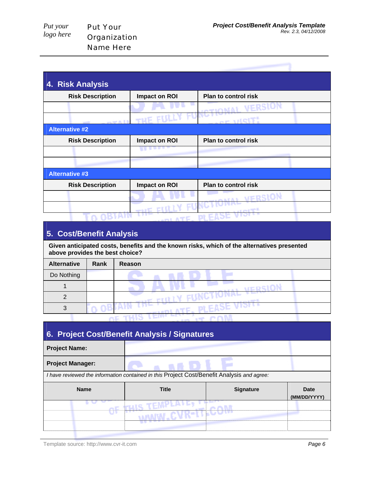*Put your logo here* 

| 4. Risk Analysis        |                       |                                        |
|-------------------------|-----------------------|----------------------------------------|
| <b>Risk Description</b> | Impact on ROI         | <b>Plan to control risk</b>            |
|                         |                       | VERSION<br>$M$ $\Lambda$ kor $\tau$ ov |
|                         | <b>DEALL THE FILL</b> | $x/1$ C $1T2$                          |
| <b>Alternative #2</b>   |                       |                                        |
| <b>Risk Description</b> | Impact on ROI         | <b>Plan to control risk</b>            |
|                         |                       |                                        |
|                         |                       |                                        |
| <b>Alternative #3</b>   |                       |                                        |
| <b>Risk Description</b> | Impact on ROI         | <b>Plan to control risk</b>            |
|                         |                       | <b>ONAL VERSION</b>                    |
|                         |                       |                                        |
|                         |                       |                                        |

## **5. Cost/Benefit Analysis**

**Given anticipated costs, benefits and the known risks, which of the alternatives presented above provides the best choice?**

| <b>Alternative</b> | Rank | Reason |
|--------------------|------|--------|
| Do Nothing         |      |        |
|                    |      |        |
| C                  |      |        |
|                    |      |        |
|                    |      |        |

| 6. Project Cost/Benefit Analysis / Signatures                                              |              |                  |                      |
|--------------------------------------------------------------------------------------------|--------------|------------------|----------------------|
| <b>Project Name:</b>                                                                       |              |                  |                      |
| <b>Project Manager:</b>                                                                    |              |                  |                      |
| I have reviewed the information contained in this Project Cost/Benefit Analysis and agree: |              |                  |                      |
|                                                                                            |              |                  |                      |
| <b>Name</b>                                                                                | <b>Title</b> | <b>Signature</b> | Date<br>(MM/DD/YYYY) |
|                                                                                            |              |                  |                      |
|                                                                                            |              |                  |                      |

Template source: http://www.cvr-it.com *Page 6*